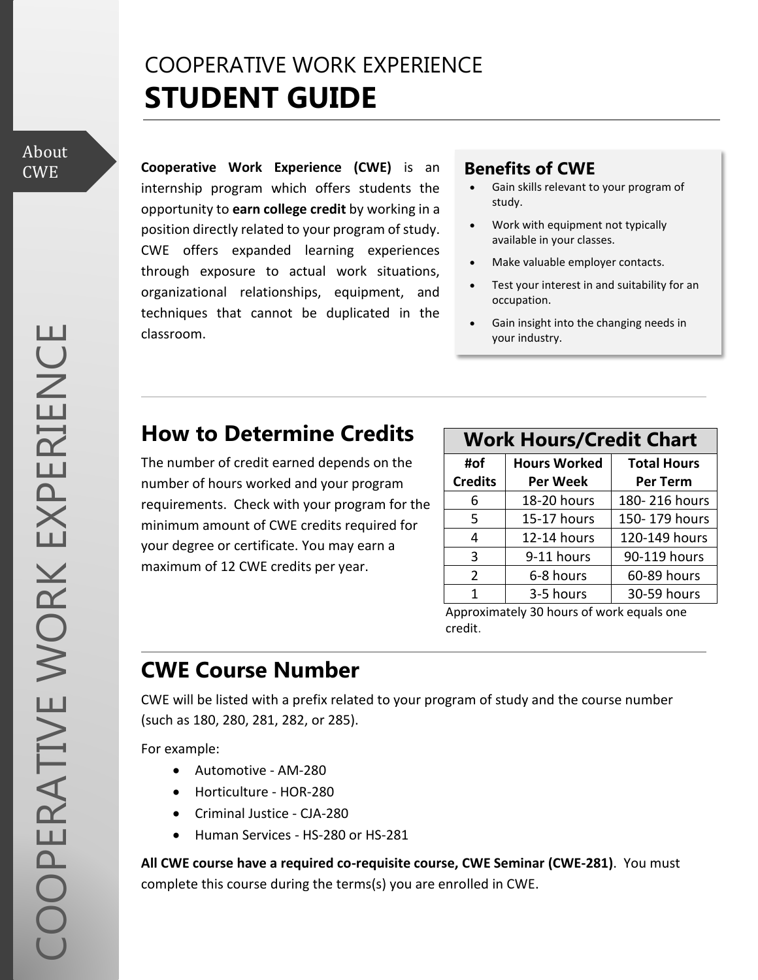## COOPERATIVE WORK EXPERIENCE **STUDENT GUIDE**

# About

**Cooperative Work Experience (CWE)** is an CWE **Benefits of CWE** internship program which offers students the opportunity to **earn college credit** by working in a position directly related to your program of study. CWE offers expanded learning experiences through exposure to actual work situations, organizational relationships, equipment, and techniques that cannot be duplicated in the classroom.

- Gain skills relevant to your program of study.
- Work with equipment not typically available in your classes.
- Make valuable employer contacts.
- Test your interest in and suitability for an occupation.
- Gain insight into the changing needs in your industry.

## **How to Determine Credits**

The number of credit earned depends on the number of hours worked and your program requirements. Check with your program for the minimum amount of CWE credits required for your degree or certificate. You may earn a maximum of 12 CWE credits per year.

#### **Work Hours/Credit Chart**

| #of            | <b>Hours Worked</b> | <b>Total Hours</b> |
|----------------|---------------------|--------------------|
| <b>Credits</b> | Per Week            | Per Term           |
| 6              | 18-20 hours         | 180-216 hours      |
| .5             | 15-17 hours         | 150-179 hours      |
| 4              | 12-14 hours         | 120-149 hours      |
| 3              | 9-11 hours          | 90-119 hours       |
| $\mathcal{P}$  | 6-8 hours           | 60-89 hours        |
| 1              | 3-5 hours           | 30-59 hours        |

Approximately 30 hours of work equals one credit.

## **CWE Course Number**

CWE will be listed with a prefix related to your program of study and the course number (such as 180, 280, 281, 282, or 285).

For example:

- Automotive AM-280
- Horticulture HOR-280
- Criminal Justice CJA-280
- Human Services HS-280 or HS-281

**All CWE course have a required co-requisite course, CWE Seminar (CWE-281)**. You must complete this course during the terms(s) you are enrolled in CWE.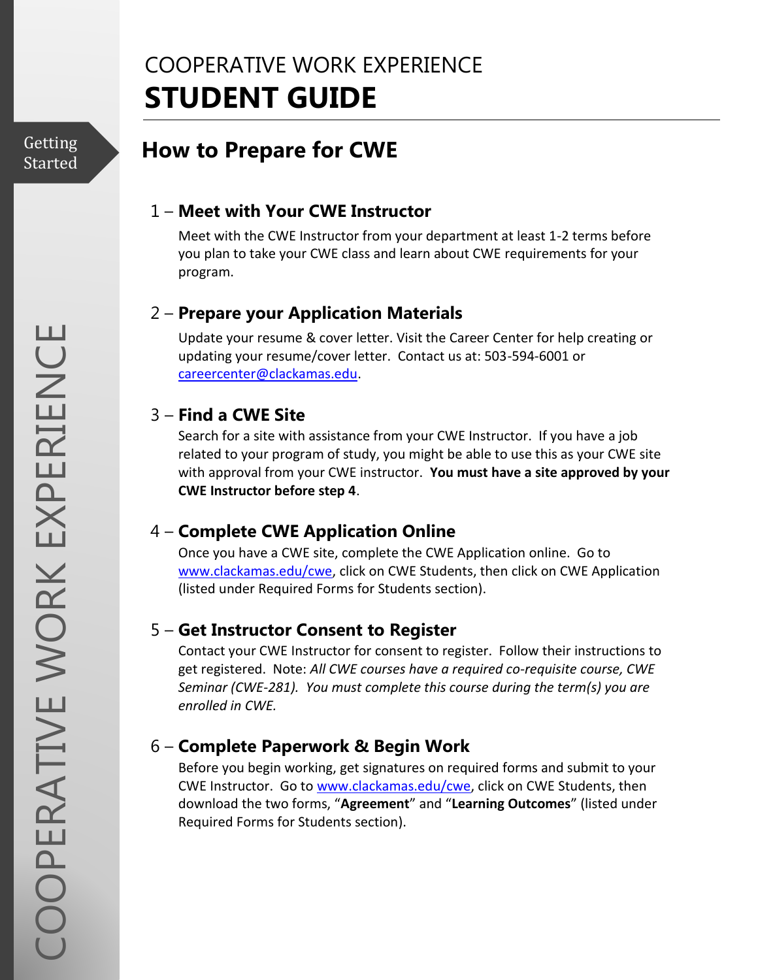## COOPERATIVE WORK EXPERIENCE **STUDENT GUIDE**

Getting Started

## **How to Prepare for CWE**

#### 1 – **Meet with Your CWE Instructor**

Meet with the CWE Instructor from your department at least 1-2 terms before you plan to take your CWE class and learn about CWE requirements for your program.

#### 2 – **Prepare your Application Materials**

Update your resume & cover letter. Visit the Career Center for help creating or updating your resume/cover letter. Contact us at: 503-594-6001 or [careercenter@clackamas.edu.](mailto:careercenter@clackamas.edu)

#### 3 – **Find a CWE Site**

Search for a site with assistance from your CWE Instructor. If you have a job related to your program of study, you might be able to use this as your CWE site with approval from your CWE instructor. **You must have a site approved by your CWE Instructor before step 4**.

#### 4 – **Complete CWE Application Online**

Once you have a CWE site, complete the CWE Application online. Go to [www.clackamas.edu/cwe,](http://www.clackamas.edu/cwe) click on CWE Students, then click on CWE Application (listed under Required Forms for Students section).

#### 5 – **Get Instructor Consent to Register**

Contact your CWE Instructor for consent to register. Follow their instructions to get registered. Note: *All CWE courses have a required co-requisite course, CWE Seminar (CWE-281). You must complete this course during the term(s) you are enrolled in CWE.*

#### 6 – **Complete Paperwork & Begin Work**

Before you begin working, get signatures on required forms and submit to your CWE Instructor. Go to [www.clackamas.edu/cwe,](http://www.clackamas.edu/cwe) click on CWE Students, then download the two forms, "**Agreement**" and "**Learning Outcomes**" (listed under Required Forms for Students section).